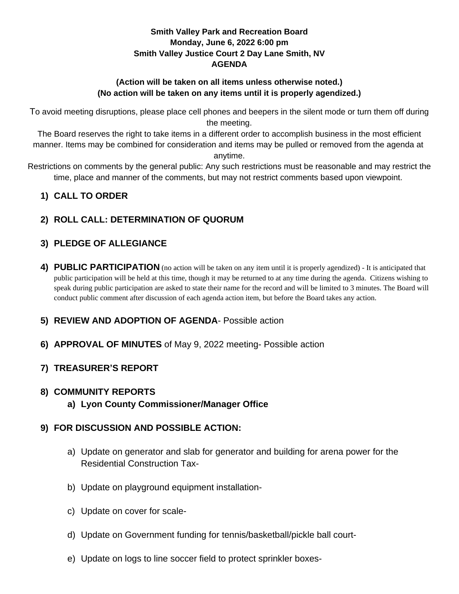### **Smith Valley Park and Recreation Board Monday, June 6, 2022 6:00 pm Smith Valley Justice Court 2 Day Lane Smith, NV AGENDA**

### **(Action will be taken on all items unless otherwise noted.) (No action will be taken on any items until it is properly agendized.)**

To avoid meeting disruptions, please place cell phones and beepers in the silent mode or turn them off during the meeting.

The Board reserves the right to take items in a different order to accomplish business in the most efficient manner. Items may be combined for consideration and items may be pulled or removed from the agenda at anytime.

Restrictions on comments by the general public: Any such restrictions must be reasonable and may restrict the time, place and manner of the comments, but may not restrict comments based upon viewpoint.

## **1) CALL TO ORDER**

# **2) ROLL CALL: DETERMINATION OF QUORUM**

# **3) PLEDGE OF ALLEGIANCE**

**4) PUBLIC PARTICIPATION** (no action will be taken on any item until it is properly agendized) - It is anticipated that public participation will be held at this time, though it may be returned to at any time during the agenda. Citizens wishing to speak during public participation are asked to state their name for the record and will be limited to 3 minutes. The Board will conduct public comment after discussion of each agenda action item, but before the Board takes any action.

## **5) REVIEW AND ADOPTION OF AGENDA**- Possible action

**6) APPROVAL OF MINUTES** of May 9, 2022 meeting- Possible action

# **7) TREASURER'S REPORT**

## **8) COMMUNITY REPORTS**

**a) Lyon County Commissioner/Manager Office**

## **9) FOR DISCUSSION AND POSSIBLE ACTION:**

- a) Update on generator and slab for generator and building for arena power for the Residential Construction Tax-
- b) Update on playground equipment installation-
- c) Update on cover for scale-
- d) Update on Government funding for tennis/basketball/pickle ball court-
- e) Update on logs to line soccer field to protect sprinkler boxes-